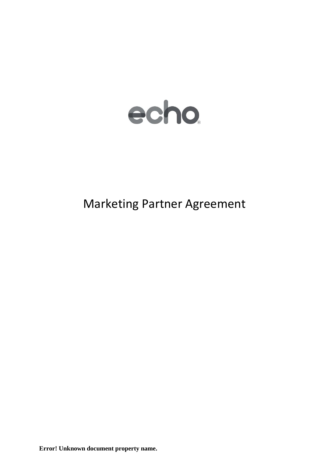

# Marketing Partner Agreement

**Error! Unknown document property name.**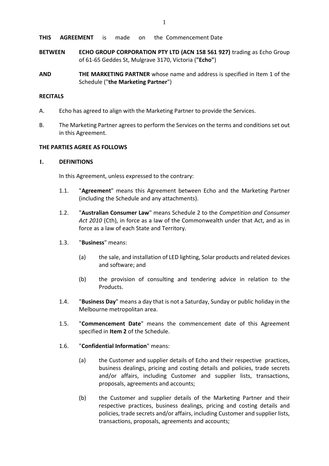- **BETWEEN ECHO GROUP CORPORATION PTY LTD (ACN 158 561 927)** trading as Echo Group of 61-65 Geddes St, Mulgrave 3170, Victoria (**"Echo"**)
- **AND THE MARKETING PARTNER** whose name and address is specified in Item 1 of the Schedule ("**the Marketing Partner**")

# **RECITALS**

- A. Echo has agreed to align with the Marketing Partner to provide the Services.
- B. The Marketing Partner agrees to perform the Services on the terms and conditions set out in this Agreement.

# **THE PARTIES AGREE AS FOLLOWS**

# **1. DEFINITIONS**

In this Agreement, unless expressed to the contrary:

- 1.1. "**Agreement**" means this Agreement between Echo and the Marketing Partner (including the Schedule and any attachments).
- 1.2. "**Australian Consumer Law**" means Schedule 2 to the *Competition and Consumer Act 2010* (Cth), in force as a law of the Commonwealth under that Act, and as in force as a law of each State and Territory.
- 1.3. "**Business**" means:
	- (a) the sale, and installation of LED lighting, Solar products and related devices and software; and
	- (b) the provision of consulting and tendering advice in relation to the Products.
- 1.4. "**Business Day**" means a day that is not a Saturday, Sunday or public holiday in the Melbourne metropolitan area.
- 1.5. "**Commencement Date**" means the commencement date of this Agreement specified in **Item 2** of the Schedule.
- 1.6. "**Confidential Information**" means:
	- (a) the Customer and supplier details of Echo and their respective practices, business dealings, pricing and costing details and policies, trade secrets and/or affairs, including Customer and supplier lists, transactions, proposals, agreements and accounts;
	- (b) the Customer and supplier details of the Marketing Partner and their respective practices, business dealings, pricing and costing details and policies, trade secrets and/or affairs, including Customer and supplier lists, transactions, proposals, agreements and accounts;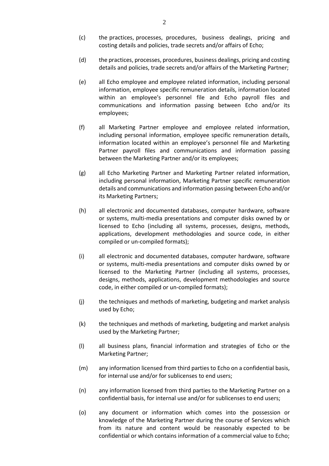- (c) the practices, processes, procedures, business dealings, pricing and costing details and policies, trade secrets and/or affairs of Echo;
- (d) the practices, processes, procedures, business dealings, pricing and costing details and policies, trade secrets and/or affairs of the Marketing Partner;
- (e) all Echo employee and employee related information, including personal information, employee specific remuneration details, information located within an employee's personnel file and Echo payroll files and communications and information passing between Echo and/or its employees;
- (f) all Marketing Partner employee and employee related information, including personal information, employee specific remuneration details, information located within an employee's personnel file and Marketing Partner payroll files and communications and information passing between the Marketing Partner and/or its employees;
- (g) all Echo Marketing Partner and Marketing Partner related information, including personal information, Marketing Partner specific remuneration details and communications and information passing between Echo and/or its Marketing Partners;
- (h) all electronic and documented databases, computer hardware, software or systems, multi-media presentations and computer disks owned by or licensed to Echo (including all systems, processes, designs, methods, applications, development methodologies and source code, in either compiled or un-compiled formats);
- (i) all electronic and documented databases, computer hardware, software or systems, multi-media presentations and computer disks owned by or licensed to the Marketing Partner (including all systems, processes, designs, methods, applications, development methodologies and source code, in either compiled or un-compiled formats);
- (j) the techniques and methods of marketing, budgeting and market analysis used by Echo;
- (k) the techniques and methods of marketing, budgeting and market analysis used by the Marketing Partner;
- (l) all business plans, financial information and strategies of Echo or the Marketing Partner;
- (m) any information licensed from third parties to Echo on a confidential basis, for internal use and/or for sublicenses to end users;
- (n) any information licensed from third parties to the Marketing Partner on a confidential basis, for internal use and/or for sublicenses to end users;
- (o) any document or information which comes into the possession or knowledge of the Marketing Partner during the course of Services which from its nature and content would be reasonably expected to be confidential or which contains information of a commercial value to Echo;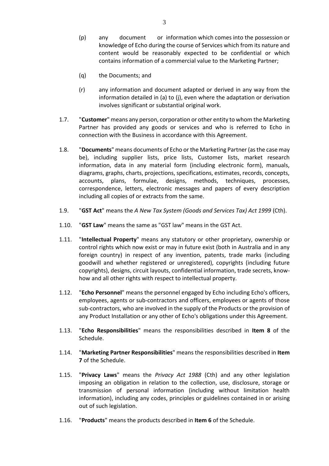- (p) any document or information which comes into the possession or knowledge of Echo during the course of Services which from its nature and content would be reasonably expected to be confidential or which contains information of a commercial value to the Marketing Partner;
- (q) the Documents; and
- (r) any information and document adapted or derived in any way from the information detailed in (a) to (j), even where the adaptation or derivation involves significant or substantial original work.
- 1.7. "**Customer**" means any person, corporation or other entity to whom the Marketing Partner has provided any goods or services and who is referred to Echo in connection with the Business in accordance with this Agreement.
- 1.8. "**Documents**" means documents of Echo or the Marketing Partner (as the case may be), including supplier lists, price lists, Customer lists, market research information, data in any material form (including electronic form), manuals, diagrams, graphs, charts, projections, specifications, estimates, records, concepts, accounts, plans, formulae, designs, methods, techniques, processes, correspondence, letters, electronic messages and papers of every description including all copies of or extracts from the same.
- 1.9. "**GST Act**" means the *A New Tax System (Goods and Services Tax) Act 1999* (Cth).
- 1.10. "**GST Law**" means the same as "GST law" means in the GST Act.
- 1.11. "**Intellectual Property**" means any statutory or other proprietary, ownership or control rights which now exist or may in future exist (both in Australia and in any foreign country) in respect of any invention, patents, trade marks (including goodwill and whether registered or unregistered), copyrights (including future copyrights), designs, circuit layouts, confidential information, trade secrets, knowhow and all other rights with respect to intellectual property.
- 1.12. "**Echo Personnel**" means the personnel engaged by Echo including Echo's officers, employees, agents or sub-contractors and officers, employees or agents of those sub-contractors, who are involved in the supply of the Products or the provision of any Product Installation or any other of Echo's obligations under this Agreement.
- 1.13. "**Echo Responsibilities**" means the responsibilities described in **Item 8** of the Schedule.
- 1.14. "**Marketing Partner Responsibilities**" means the responsibilities described in **Item 7** of the Schedule.
- 1.15. "**Privacy Laws**" means the *Privacy Act 1988* (Cth) and any other legislation imposing an obligation in relation to the collection, use, disclosure, storage or transmission of personal information (including without limitation health information), including any codes, principles or guidelines contained in or arising out of such legislation.
- 1.16. "**Products**" means the products described in **Item 6** of the Schedule.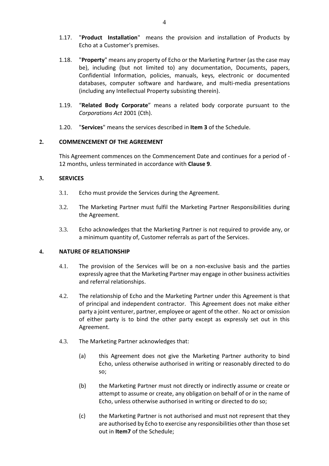- 1.17. "**Product Installation**" means the provision and installation of Products by Echo at a Customer's premises.
- 1.18. "**Property**" means any property of Echo or the Marketing Partner (as the case may be), including (but not limited to) any documentation, Documents, papers, Confidential Information, policies, manuals, keys, electronic or documented databases, computer software and hardware, and multi-media presentations (including any Intellectual Property subsisting therein).
- 1.19. "**Related Body Corporate**" means a related body corporate pursuant to the *Corporations Act* 2001 (Cth).
- 1.20. "**Services**" means the services described in **Item 3** of the Schedule.

#### **2. COMMENCEMENT OF THE AGREEMENT**

This Agreement commences on the Commencement Date and continues for a period of - 12 months, unless terminated in accordance with **Clause [9](#page-8-0)**.

#### **3. SERVICES**

- 3.1. Echo must provide the Services during the Agreement.
- 3.2. The Marketing Partner must fulfil the Marketing Partner Responsibilities during the Agreement.
- 3.3. Echo acknowledges that the Marketing Partner is not required to provide any, or a minimum quantity of, Customer referrals as part of the Services.

#### **4. NATURE OF RELATIONSHIP**

- 4.1. The provision of the Services will be on a non-exclusive basis and the parties expressly agree that the Marketing Partner may engage in other business activities and referral relationships.
- 4.2. The relationship of Echo and the Marketing Partner under this Agreement is that of principal and independent contractor. This Agreement does not make either party a joint venturer, partner, employee or agent of the other. No act or omission of either party is to bind the other party except as expressly set out in this Agreement.
- 4.3. The Marketing Partner acknowledges that:
	- (a) this Agreement does not give the Marketing Partner authority to bind Echo, unless otherwise authorised in writing or reasonably directed to do so;
	- (b) the Marketing Partner must not directly or indirectly assume or create or attempt to assume or create, any obligation on behalf of or in the name of Echo, unless otherwise authorised in writing or directed to do so;
	- (c) the Marketing Partner is not authorised and must not represent that they are authorised by Echo to exercise any responsibilities other than those set out in **Item7** of the Schedule;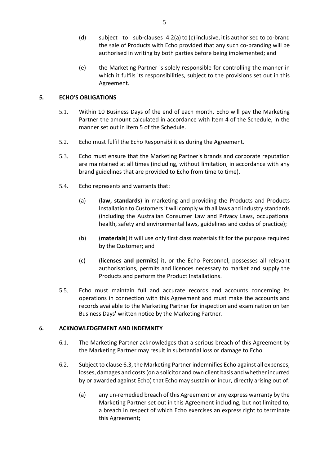- <span id="page-5-2"></span>(d) subject to sub-clauses 4.2(a) to (c) inclusive, it is authorised to co-brand the sale of Products with Echo provided that any such co-branding will be authorised in writing by both parties before being implemented; and
- (e) the Marketing Partner is solely responsible for controlling the manner in which it fulfils its responsibilities, subject to the provisions set out in this Agreement.

# <span id="page-5-1"></span>**5. ECHO'S OBLIGATIONS**

- 5.1. Within 10 Business Days of the end of each month, Echo will pay the Marketing Partner the amount calculated in accordance with Item 4 of the Schedule, in the manner set out in Item 5 of the Schedule.
- 5.2. Echo must fulfil the Echo Responsibilities during the Agreement.
- 5.3. Echo must ensure that the Marketing Partner's brands and corporate reputation are maintained at all times (including, without limitation, in accordance with any brand guidelines that are provided to Echo from time to time).
- 5.4. Echo represents and warrants that:
	- (a) (**law, standards**) in marketing and providing the Products and Products Installation to Customers it will comply with all laws and industry standards (including the Australian Consumer Law and Privacy Laws, occupational health, safety and environmental laws, guidelines and codes of practice);
	- (b) (**materials**) it will use only first class materials fit for the purpose required by the Customer; and
	- (c) (**licenses and permits**) it, or the Echo Personnel, possesses all relevant authorisations, permits and licences necessary to market and supply the Products and perform the Product Installations.
- 5.5. Echo must maintain full and accurate records and accounts concerning its operations in connection with this Agreement and must make the accounts and records available to the Marketing Partner for inspection and examination on ten Business Days' written notice by the Marketing Partner.

# **6. ACKNOWLEDGEMENT AND INDEMNITY**

- 6.1. The Marketing Partner acknowledges that a serious breach of this Agreement by the Marketing Partner may result in substantial loss or damage to Echo.
- <span id="page-5-0"></span>6.2. Subject to claus[e 6.3,](#page-6-0) the Marketing Partner indemnifies Echo against all expenses, losses, damages and costs (on a solicitor and own client basis and whether incurred by or awarded against Echo) that Echo may sustain or incur, directly arising out of:
	- (a) any un-remedied breach of this Agreement or any express warranty by the Marketing Partner set out in this Agreement including, but not limited to, a breach in respect of which Echo exercises an express right to terminate this Agreement;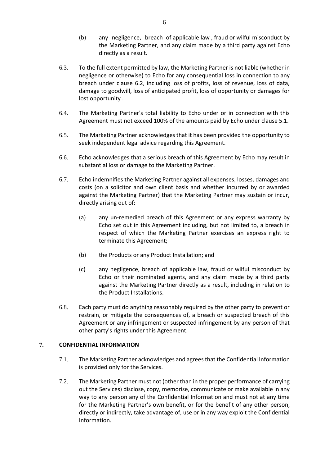- <span id="page-6-1"></span>(b) any negligence, breach of applicable law , fraud or wilful misconduct by the Marketing Partner, and any claim made by a third party against Echo directly as a result.
- <span id="page-6-0"></span>6.3. To the full extent permitted by law, the Marketing Partner is not liable (whether in negligence or otherwise) to Echo for any consequential loss in connection to any breach under clause [6.2,](#page-5-0) including loss of profits, loss of revenue, loss of data, damage to goodwill, loss of anticipated profit, loss of opportunity or damages for lost opportunity .
- 6.4. The Marketing Partner's total liability to Echo under or in connection with this Agreement must not exceed 100% of the amounts paid by Echo under clause [5.1.](#page-5-1)
- 6.5. The Marketing Partner acknowledges that it has been provided the opportunity to seek independent legal advice regarding this Agreement.
- 6.6. Echo acknowledges that a serious breach of this Agreement by Echo may result in substantial loss or damage to the Marketing Partner.
- 6.7. Echo indemnifies the Marketing Partner against all expenses, losses, damages and costs (on a solicitor and own client basis and whether incurred by or awarded against the Marketing Partner) that the Marketing Partner may sustain or incur, directly arising out of:
	- (a) any un-remedied breach of this Agreement or any express warranty by Echo set out in this Agreement including, but not limited to, a breach in respect of which the Marketing Partner exercises an express right to terminate this Agreement;
	- (b) the Products or any Product Installation; and
	- (c) any negligence, breach of applicable law, fraud or wilful misconduct by Echo or their nominated agents, and any claim made by a third party against the Marketing Partner directly as a result, including in relation to the Product Installations.
- 6.8. Each party must do anything reasonably required by the other party to prevent or restrain, or mitigate the consequences of, a breach or suspected breach of this Agreement or any infringement or suspected infringement by any person of that other party's rights under this Agreement.

# **7. CONFIDENTIAL INFORMATION**

- 7.1. The Marketing Partner acknowledges and agreesthat the Confidential Information is provided only for the Services.
- 7.2. The Marketing Partner must not (other than in the proper performance of carrying out the Services) disclose, copy, memorise, communicate or make available in any way to any person any of the Confidential Information and must not at any time for the Marketing Partner's own benefit, or for the benefit of any other person, directly or indirectly, take advantage of, use or in any way exploit the Confidential Information.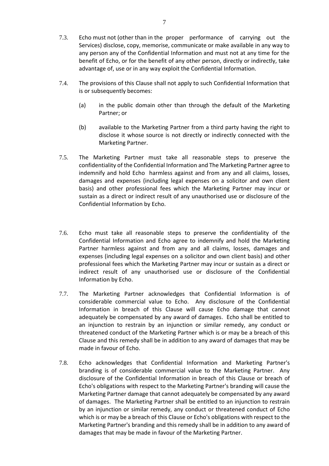- 7.3. Echo must not (other than in the proper performance of carrying out the Services) disclose, copy, memorise, communicate or make available in any way to any person any of the Confidential Information and must not at any time for the benefit of Echo, or for the benefit of any other person, directly or indirectly, take advantage of, use or in any way exploit the Confidential Information.
- 7.4. The provisions of this Clause shall not apply to such Confidential Information that is or subsequently becomes:
	- (a) in the public domain other than through the default of the Marketing Partner; or
	- (b) available to the Marketing Partner from a third party having the right to disclose it whose source is not directly or indirectly connected with the Marketing Partner.
- 7.5. The Marketing Partner must take all reasonable steps to preserve the confidentiality of the Confidential Information and The Marketing Partner agree to indemnify and hold Echo harmless against and from any and all claims, losses, damages and expenses (including legal expenses on a solicitor and own client basis) and other professional fees which the Marketing Partner may incur or sustain as a direct or indirect result of any unauthorised use or disclosure of the Confidential Information by Echo.
- 7.6. Echo must take all reasonable steps to preserve the confidentiality of the Confidential Information and Echo agree to indemnify and hold the Marketing Partner harmless against and from any and all claims, losses, damages and expenses (including legal expenses on a solicitor and own client basis) and other professional fees which the Marketing Partner may incur or sustain as a direct or indirect result of any unauthorised use or disclosure of the Confidential Information by Echo.
- 7.7. The Marketing Partner acknowledges that Confidential Information is of considerable commercial value to Echo. Any disclosure of the Confidential Information in breach of this Clause will cause Echo damage that cannot adequately be compensated by any award of damages. Echo shall be entitled to an injunction to restrain by an injunction or similar remedy, any conduct or threatened conduct of the Marketing Partner which is or may be a breach of this Clause and this remedy shall be in addition to any award of damages that may be made in favour of Echo.
- 7.8. Echo acknowledges that Confidential Information and Marketing Partner's branding is of considerable commercial value to the Marketing Partner. Any disclosure of the Confidential Information in breach of this Clause or breach of Echo's obligations with respect to the Marketing Partner's branding will cause the Marketing Partner damage that cannot adequately be compensated by any award of damages. The Marketing Partner shall be entitled to an injunction to restrain by an injunction or similar remedy, any conduct or threatened conduct of Echo which is or may be a breach of this Clause or Echo's obligations with respect to the Marketing Partner's branding and this remedy shall be in addition to any award of damages that may be made in favour of the Marketing Partner.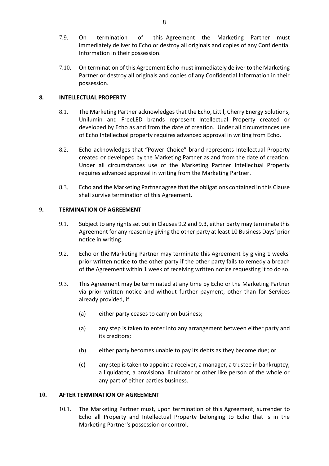- <span id="page-8-1"></span>7.9. On termination of this Agreement the Marketing Partner must immediately deliver to Echo or destroy all originals and copies of any Confidential Information in their possession.
- 7.10. On termination of this Agreement Echo must immediately deliver to the Marketing Partner or destroy all originals and copies of any Confidential Information in their possession.

# **8. INTELLECTUAL PROPERTY**

- 8.1. The Marketing Partner acknowledges that the Echo, Littil, Cherry Energy Solutions, Unilumin and FreeLED brands represent Intellectual Property created or developed by Echo as and from the date of creation. Under all circumstances use of Echo Intellectual property requires advanced approval in writing from Echo.
- 8.2. Echo acknowledges that "Power Choice" brand represents Intellectual Property created or developed by the Marketing Partner as and from the date of creation. Under all circumstances use of the Marketing Partner Intellectual Property requires advanced approval in writing from the Marketing Partner.
- 8.3. Echo and the Marketing Partner agree that the obligations contained in this Clause shall survive termination of this Agreement.

#### <span id="page-8-0"></span>**9. TERMINATION OF AGREEMENT**

- 9.1. Subject to any rights set out in Clauses [9.2](#page-8-2) an[d 9.3,](#page-8-3) either party may terminate this Agreement for any reason by giving the other party at least 10 Business Days' prior notice in writing.
- <span id="page-8-2"></span>9.2. Echo or the Marketing Partner may terminate this Agreement by giving 1 weeks' prior written notice to the other party if the other party fails to remedy a breach of the Agreement within 1 week of receiving written notice requesting it to do so.
- <span id="page-8-3"></span>9.3. This Agreement may be terminated at any time by Echo or the Marketing Partner via prior written notice and without further payment, other than for Services already provided, if:
	- (a) either party ceases to carry on business;
	- (a) any step is taken to enter into any arrangement between either party and its creditors;
	- (b) either party becomes unable to pay its debts as they become due; or
	- (c) any step is taken to appoint a receiver, a manager, a trustee in bankruptcy, a liquidator, a provisional liquidator or other like person of the whole or any part of either parties business.

#### **10. AFTER TERMINATION OF AGREEMENT**

10.1. The Marketing Partner must, upon termination of this Agreement, surrender to Echo all Property and Intellectual Property belonging to Echo that is in the Marketing Partner's possession or control.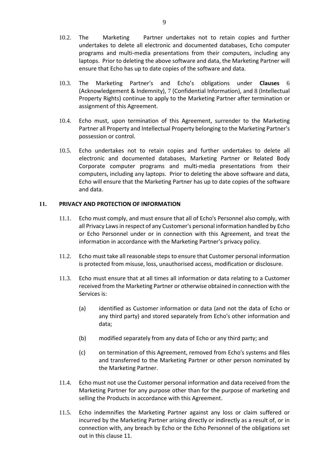- 10.2. The Marketing Partner undertakes not to retain copies and further undertakes to delete all electronic and documented databases, Echo computer programs and multi-media presentations from their computers, including any laptops. Prior to deleting the above software and data, the Marketing Partner will ensure that Echo has up to date copies of the software and data.
- 10.3. The Marketing Partner's and Echo's obligations under **Clauses** 6 (Acknowledgement & Indemnity), 7 (Confidential Information), and 8 (Intellectual Property Rights) continue to apply to the Marketing Partner after termination or assignment of this Agreement.
- 10.4. Echo must, upon termination of this Agreement, surrender to the Marketing Partner all Property and Intellectual Property belonging to the Marketing Partner's possession or control.
- 10.5. Echo undertakes not to retain copies and further undertakes to delete all electronic and documented databases, Marketing Partner or Related Body Corporate computer programs and multi-media presentations from their computers, including any laptops. Prior to deleting the above software and data, Echo will ensure that the Marketing Partner has up to date copies of the software and data.

#### <span id="page-9-0"></span>**11. PRIVACY AND PROTECTION OF INFORMATION**

- 11.1. Echo must comply, and must ensure that all of Echo's Personnel also comply, with all Privacy Laws in respect of any Customer's personal information handled by Echo or Echo Personnel under or in connection with this Agreement, and treat the information in accordance with the Marketing Partner's privacy policy.
- 11.2. Echo must take all reasonable steps to ensure that Customer personal information is protected from misuse, loss, unauthorised access, modification or disclosure.
- 11.3. Echo must ensure that at all times all information or data relating to a Customer received from the Marketing Partner or otherwise obtained in connection with the Services is:
	- (a) identified as Customer information or data (and not the data of Echo or any third party) and stored separately from Echo's other information and data;
	- (b) modified separately from any data of Echo or any third party; and
	- (c) on termination of this Agreement, removed from Echo's systems and files and transferred to the Marketing Partner or other person nominated by the Marketing Partner.
- 11.4. Echo must not use the Customer personal information and data received from the Marketing Partner for any purpose other than for the purpose of marketing and selling the Products in accordance with this Agreement.
- 11.5. Echo indemnifies the Marketing Partner against any loss or claim suffered or incurred by the Marketing Partner arising directly or indirectly as a result of, or in connection with, any breach by Echo or the Echo Personnel of the obligations set out in this clause [11.](#page-9-0)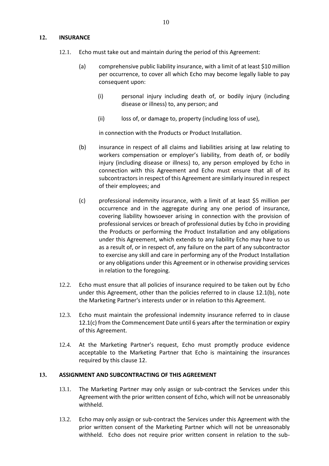#### <span id="page-10-2"></span>**12. INSURANCE**

- 12.1. Echo must take out and maintain during the period of this Agreement:
	- (a) comprehensive public liability insurance, with a limit of at least \$10 million per occurrence, to cover all which Echo may become legally liable to pay consequent upon:
		- (i) personal injury including death of, or bodily injury (including disease or illness) to, any person; and
		- (ii) loss of, or damage to, property (including loss of use),

in connection with the Products or Product Installation.

- <span id="page-10-0"></span>(b) insurance in respect of all claims and liabilities arising at law relating to workers compensation or employer's liability, from death of, or bodily injury (including disease or illness) to, any person employed by Echo in connection with this Agreement and Echo must ensure that all of its subcontractors in respect of this Agreement are similarly insured in respect of their employees; and
- <span id="page-10-1"></span>(c) professional indemnity insurance, with a limit of at least \$5 million per occurrence and in the aggregate during any one period of insurance, covering liability howsoever arising in connection with the provision of professional services or breach of professional duties by Echo in providing the Products or performing the Product Installation and any obligations under this Agreement, which extends to any liability Echo may have to us as a result of, or in respect of, any failure on the part of any subcontractor to exercise any skill and care in performing any of the Product Installation or any obligations under this Agreement or in otherwise providing services in relation to the foregoing.
- 12.2. Echo must ensure that all policies of insurance required to be taken out by Echo under this Agreement, other than the policies referred to in clause [12.1\(b\),](#page-10-0) note the Marketing Partner's interests under or in relation to this Agreement.
- 12.3. Echo must maintain the professional indemnity insurance referred to in clause [12.1\(c\)](#page-10-1) from the Commencement Date until 6 years after the termination or expiry of this Agreement.
- 12.4. At the Marketing Partner's request, Echo must promptly produce evidence acceptable to the Marketing Partner that Echo is maintaining the insurances required by this clause [12.](#page-10-2)

#### **13. ASSIGNMENT AND SUBCONTRACTING OF THIS AGREEMENT**

- 13.1. The Marketing Partner may only assign or sub-contract the Services under this Agreement with the prior written consent of Echo, which will not be unreasonably withheld.
- 13.2. Echo may only assign or sub-contract the Services under this Agreement with the prior written consent of the Marketing Partner which will not be unreasonably withheld. Echo does not require prior written consent in relation to the sub-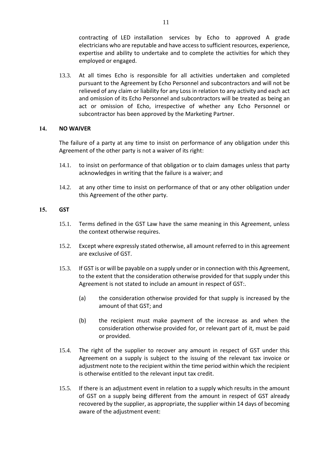contracting of LED installation services by Echo to approved A grade electricians who are reputable and have access to sufficient resources, experience, expertise and ability to undertake and to complete the activities for which they employed or engaged.

13.3. At all times Echo is responsible for all activities undertaken and completed pursuant to the Agreement by Echo Personnel and subcontractors and will not be relieved of any claim or liability for any Loss in relation to any activity and each act and omission of its Echo Personnel and subcontractors will be treated as being an act or omission of Echo, irrespective of whether any Echo Personnel or subcontractor has been approved by the Marketing Partner.

#### **14. NO WAIVER**

The failure of a party at any time to insist on performance of any obligation under this Agreement of the other party is not a waiver of its right:

- 14.1. to insist on performance of that obligation or to claim damages unless that party acknowledges in writing that the failure is a waiver; and
- 14.2. at any other time to insist on performance of that or any other obligation under this Agreement of the other party.

#### **15. GST**

- 15.1. Terms defined in the GST Law have the same meaning in this Agreement, unless the context otherwise requires.
- 15.2. Except where expressly stated otherwise, all amount referred to in this agreement are exclusive of GST.
- 15.3. If GST is or will be payable on a supply under or in connection with this Agreement, to the extent that the consideration otherwise provided for that supply under this Agreement is not stated to include an amount in respect of GST:.
	- (a) the consideration otherwise provided for that supply is increased by the amount of that GST; and
	- (b) the recipient must make payment of the increase as and when the consideration otherwise provided for, or relevant part of it, must be paid or provided.
- 15.4. The right of the supplier to recover any amount in respect of GST under this Agreement on a supply is subject to the issuing of the relevant tax invoice or adjustment note to the recipient within the time period within which the recipient is otherwise entitled to the relevant input tax credit.
- 15.5. If there is an adjustment event in relation to a supply which results in the amount of GST on a supply being different from the amount in respect of GST already recovered by the supplier, as appropriate, the supplier within 14 days of becoming aware of the adjustment event: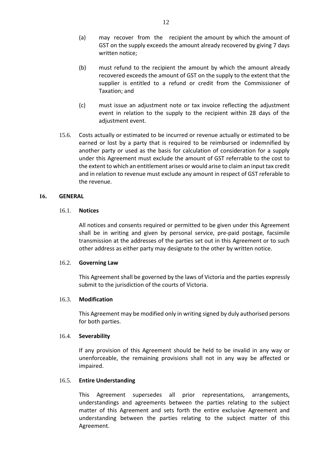- (a) may recover from the recipient the amount by which the amount of GST on the supply exceeds the amount already recovered by giving 7 days written notice;
- (b) must refund to the recipient the amount by which the amount already recovered exceeds the amount of GST on the supply to the extent that the supplier is entitled to a refund or credit from the Commissioner of Taxation; and
- (c) must issue an adjustment note or tax invoice reflecting the adjustment event in relation to the supply to the recipient within 28 days of the adjustment event.
- 15.6. Costs actually or estimated to be incurred or revenue actually or estimated to be earned or lost by a party that is required to be reimbursed or indemnified by another party or used as the basis for calculation of consideration for a supply under this Agreement must exclude the amount of GST referrable to the cost to the extent to which an entitlement arises or would arise to claim an input tax credit and in relation to revenue must exclude any amount in respect of GST referable to the revenue.

#### **16. GENERAL**

#### 16.1. **Notices**

All notices and consents required or permitted to be given under this Agreement shall be in writing and given by personal service, pre-paid postage, facsimile transmission at the addresses of the parties set out in this Agreement or to such other address as either party may designate to the other by written notice.

#### 16.2. **Governing Law**

This Agreement shall be governed by the laws of Victoria and the parties expressly submit to the jurisdiction of the courts of Victoria.

#### 16.3. **Modification**

This Agreement may be modified only in writing signed by duly authorised persons for both parties.

#### 16.4. **Severability**

If any provision of this Agreement should be held to be invalid in any way or unenforceable, the remaining provisions shall not in any way be affected or impaired.

# 16.5. **Entire Understanding**

This Agreement supersedes all prior representations, arrangements, understandings and agreements between the parties relating to the subject matter of this Agreement and sets forth the entire exclusive Agreement and understanding between the parties relating to the subject matter of this Agreement.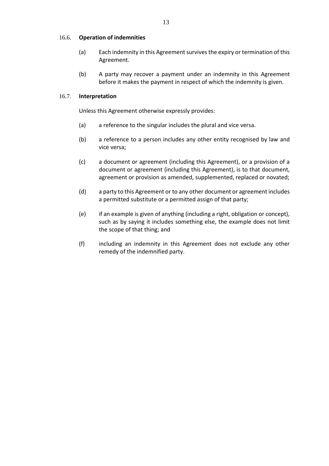#### 16.6. **Operation of indemnities**

- (a) Each indemnity in this Agreement survives the expiry or termination of this Agreement.
- (b) A party may recover a payment under an indemnity in this Agreement before it makes the payment in respect of which the indemnity is given.

#### 16.7. **Interpretation**

Unless this Agreement otherwise expressly provides:

- (a) a reference to the singular includes the plural and vice versa.
- (b) a reference to a person includes any other entity recognised by law and vice versa;
- (c) a document or agreement (including this Agreement), or a provision of a document or agreement (including this Agreement), is to that document, agreement or provision as amended, supplemented, replaced or novated;
- (d) a party to this Agreement or to any other document or agreement includes a permitted substitute or a permitted assign of that party;
- (e) if an example is given of anything (including a right, obligation or concept), such as by saying it includes something else, the example does not limit the scope of that thing; and
- (f) including an indemnity in this Agreement does not exclude any other remedy of the indemnified party.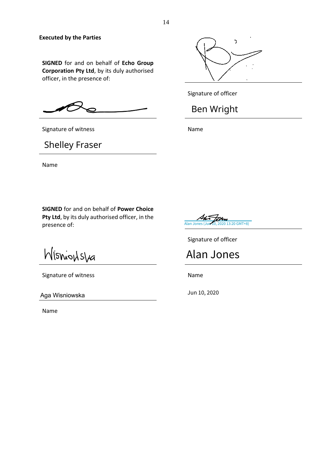#### **Executed by the Parties**

**SIGNED** for and on behalf of **Echo Group Corporation Pty Ltd**, by its duly authorised officer, in the presence of:

**SIGNED** for and on behalf of **Power Choice Pty Ltd**, by its duly authorised officer, in the

Signature of witness Name

Shelley Fraser

Name



Signature of officer

# Ben Wright



Signature of officer

Alan Jones<br>
Name<br>
Jun 10, 2020

Wisnionslea

presence of:

Signature of witness Name

Aga Wisniowska

Name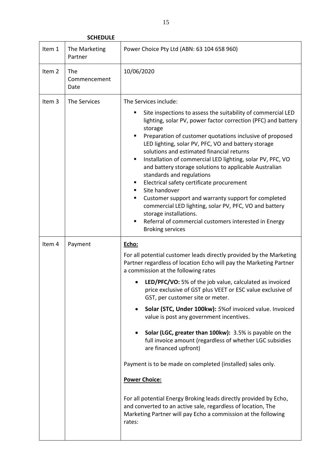**SCHEDULE**

| Item 1            | The Marketing<br>Partner    | Power Choice Pty Ltd (ABN: 63 104 658 960)                                                                                                                                                                                                                                                                                                                                                                                                                                                                                                                                                                                                                                                                                                                                                                                                                                                                           |  |  |
|-------------------|-----------------------------|----------------------------------------------------------------------------------------------------------------------------------------------------------------------------------------------------------------------------------------------------------------------------------------------------------------------------------------------------------------------------------------------------------------------------------------------------------------------------------------------------------------------------------------------------------------------------------------------------------------------------------------------------------------------------------------------------------------------------------------------------------------------------------------------------------------------------------------------------------------------------------------------------------------------|--|--|
| Item <sub>2</sub> | The<br>Commencement<br>Date | 10/06/2020                                                                                                                                                                                                                                                                                                                                                                                                                                                                                                                                                                                                                                                                                                                                                                                                                                                                                                           |  |  |
| Item 3            | The Services                | The Services include:<br>Site inspections to assess the suitability of commercial LED<br>lighting, solar PV, power factor correction (PFC) and battery<br>storage<br>Preparation of customer quotations inclusive of proposed<br>٠<br>LED lighting, solar PV, PFC, VO and battery storage<br>solutions and estimated financial returns<br>Installation of commercial LED lighting, solar PV, PFC, VO<br>٠<br>and battery storage solutions to applicable Australian<br>standards and regulations<br>Electrical safety certificate procurement<br>٠<br>Site handover<br>٠<br>Customer support and warranty support for completed<br>commercial LED lighting, solar PV, PFC, VO and battery<br>storage installations.<br>Referral of commercial customers interested in Energy<br>٠<br><b>Broking services</b>                                                                                                         |  |  |
| Item 4            | Payment                     | Echo:<br>For all potential customer leads directly provided by the Marketing<br>Partner regardless of location Echo will pay the Marketing Partner<br>a commission at the following rates<br>LED/PFC/VO: 5% of the job value, calculated as invoiced<br>price exclusive of GST plus VEET or ESC value exclusive of<br>GST, per customer site or meter.<br>Solar (STC, Under 100kw): 5% of invoiced value. Invoiced<br>value is post any government incentives.<br>Solar (LGC, greater than 100kw): 3.5% is payable on the<br>full invoice amount (regardless of whether LGC subsidies<br>are financed upfront)<br>Payment is to be made on completed (installed) sales only.<br><b>Power Choice:</b><br>For all potential Energy Broking leads directly provided by Echo,<br>and converted to an active sale, regardless of location, The<br>Marketing Partner will pay Echo a commission at the following<br>rates: |  |  |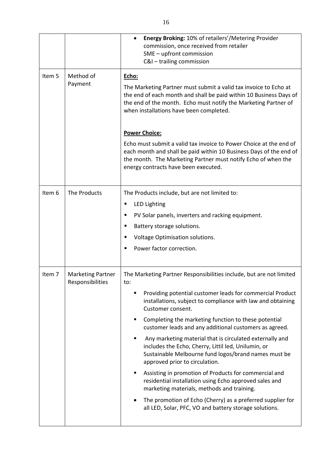|        |                                              | Energy Broking: 10% of retailers'/Metering Provider<br>commission, once received from retailer<br>SME - upfront commission<br>C&I - trailing commission                                                                                                                                                                                                                                                                                                                                                                                                                                                                                                                                                                                                                                                                                                                 |  |  |  |
|--------|----------------------------------------------|-------------------------------------------------------------------------------------------------------------------------------------------------------------------------------------------------------------------------------------------------------------------------------------------------------------------------------------------------------------------------------------------------------------------------------------------------------------------------------------------------------------------------------------------------------------------------------------------------------------------------------------------------------------------------------------------------------------------------------------------------------------------------------------------------------------------------------------------------------------------------|--|--|--|
| Item 5 | Method of<br>Payment                         | Echo:<br>The Marketing Partner must submit a valid tax invoice to Echo at<br>the end of each month and shall be paid within 10 Business Days of<br>the end of the month. Echo must notify the Marketing Partner of<br>when installations have been completed.                                                                                                                                                                                                                                                                                                                                                                                                                                                                                                                                                                                                           |  |  |  |
|        |                                              | <b>Power Choice:</b><br>Echo must submit a valid tax invoice to Power Choice at the end of<br>each month and shall be paid within 10 Business Days of the end of<br>the month. The Marketing Partner must notify Echo of when the<br>energy contracts have been executed.                                                                                                                                                                                                                                                                                                                                                                                                                                                                                                                                                                                               |  |  |  |
| Item 6 | The Products                                 | The Products include, but are not limited to:<br><b>LED Lighting</b><br>Е<br>PV Solar panels, inverters and racking equipment.<br>п<br>Battery storage solutions.<br>٠<br>Voltage Optimisation solutions.<br>п<br>Power factor correction.                                                                                                                                                                                                                                                                                                                                                                                                                                                                                                                                                                                                                              |  |  |  |
| Item 7 | <b>Marketing Partner</b><br>Responsibilities | The Marketing Partner Responsibilities include, but are not limited<br>to:<br>Providing potential customer leads for commercial Product<br>п<br>installations, subject to compliance with law and obtaining<br>Customer consent.<br>Completing the marketing function to these potential<br>п<br>customer leads and any additional customers as agreed.<br>Any marketing material that is circulated externally and<br>٠<br>includes the Echo, Cherry, Littil led, Unilumin, or<br>Sustainable Melbourne fund logos/brand names must be<br>approved prior to circulation.<br>Assisting in promotion of Products for commercial and<br>п<br>residential installation using Echo approved sales and<br>marketing materials, methods and training.<br>The promotion of Echo (Cherry) as a preferred supplier for<br>all LED, Solar, PFC, VO and battery storage solutions. |  |  |  |